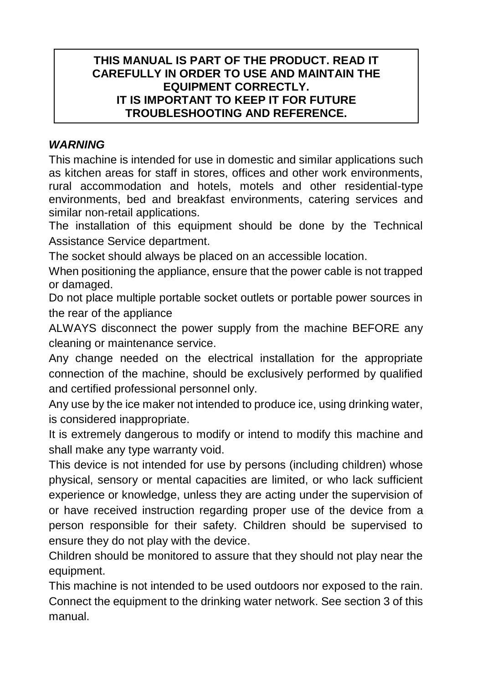# **THIS MANUAL IS PART OF THE PRODUCT. READ IT CAREFULLY IN ORDER TO USE AND MAINTAIN THE EQUIPMENT CORRECTLY IT IS IMPORTANT TO KEEP IT FOR FUTURE TROUBLESHOOTING AND REFERENCE.**

# *WARNING*

This machine is intended for use in domestic and similar applications such as kitchen areas for staff in stores, offices and other work environments, rural accommodation and hotels, motels and other residential-type environments, bed and breakfast environments, catering services and similar non-retail applications.

The installation of this equipment should be done by the Technical Assistance Service department.

The socket should always be placed on an accessible location.

When positioning the appliance, ensure that the power cable is not trapped or damaged.

Do not place multiple portable socket outlets or portable power sources in the rear of the appliance

ALWAYS disconnect the power supply from the machine BEFORE any cleaning or maintenance service.

Any change needed on the electrical installation for the appropriate connection of the machine, should be exclusively performed by qualified and certified professional personnel only.

Any use by the ice maker not intended to produce ice, using drinking water, is considered inappropriate.

It is extremely dangerous to modify or intend to modify this machine and shall make any type warranty void.

This device is not intended for use by persons (including children) whose physical, sensory or mental capacities are limited, or who lack sufficient experience or knowledge, unless they are acting under the supervision of or have received instruction regarding proper use of the device from a person responsible for their safety. Children should be supervised to ensure they do not play with the device.

Children should be monitored to assure that they should not play near the equipment.

This machine is not intended to be used outdoors nor exposed to the rain. Connect the equipment to the drinking water network. See section 3 of this manual.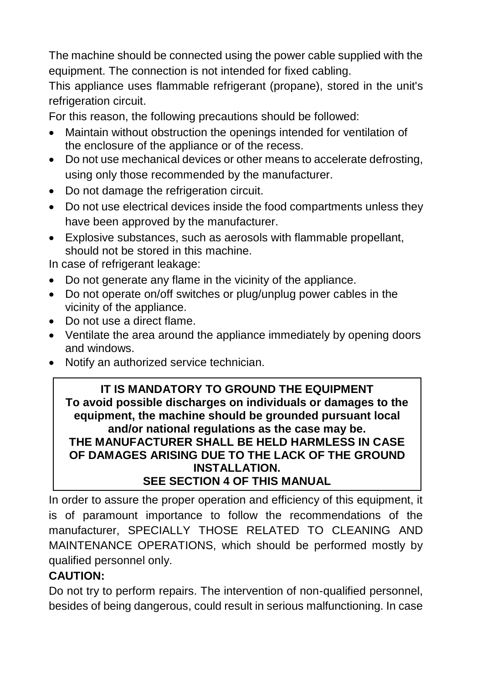The machine should be connected using the power cable supplied with the equipment. The connection is not intended for fixed cabling.

This appliance uses flammable refrigerant (propane), stored in the unit's refrigeration circuit.

For this reason, the following precautions should be followed:

- Maintain without obstruction the openings intended for ventilation of the enclosure of the appliance or of the recess.
- Do not use mechanical devices or other means to accelerate defrosting, using only those recommended by the manufacturer.
- Do not damage the refrigeration circuit.
- Do not use electrical devices inside the food compartments unless they have been approved by the manufacturer.
- Explosive substances, such as aerosols with flammable propellant, should not be stored in this machine.

In case of refrigerant leakage:

- Do not generate any flame in the vicinity of the appliance.
- Do not operate on/off switches or plug/unplug power cables in the vicinity of the appliance.
- Do not use a direct flame.
- Ventilate the area around the appliance immediately by opening doors and windows.
- Notify an authorized service technician.

# **IT IS MANDATORY TO GROUND THE EQUIPMENT To avoid possible discharges on individuals or damages to the equipment, the machine should be grounded pursuant local and/or national regulations as the case may be. THE MANUFACTURER SHALL BE HELD HARMLESS IN CASE OF DAMAGES ARISING DUE TO THE LACK OF THE GROUND INSTALLATION. SEE SECTION 4 OF THIS MANUAL**

In order to assure the proper operation and efficiency of this equipment, it is of paramount importance to follow the recommendations of the manufacturer, SPECIALLY THOSE RELATED TO CLEANING AND MAINTENANCE OPERATIONS, which should be performed mostly by qualified personnel only.

# **CAUTION:**

Do not try to perform repairs. The intervention of non-qualified personnel, besides of being dangerous, could result in serious malfunctioning. In case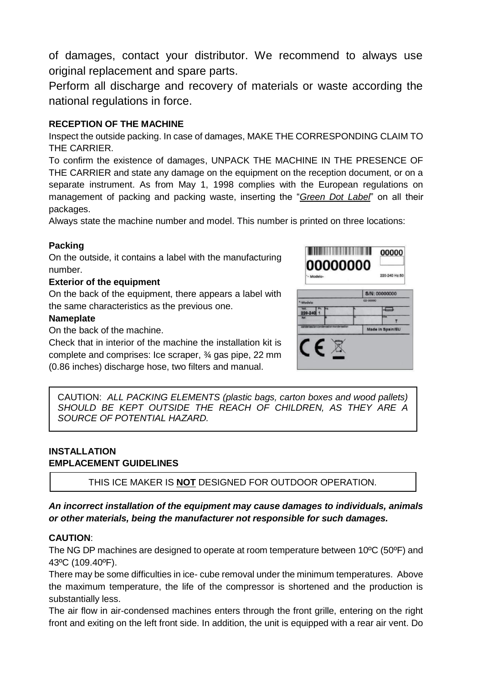of damages, contact your distributor. We recommend to always use original replacement and spare parts.

Perform all discharge and recovery of materials or waste according the national regulations in force.

### **RECEPTION OF THE MACHINE**

Inspect the outside packing. In case of damages, MAKE THE CORRESPONDING CLAIM TO THE CARRIER.

To confirm the existence of damages, UNPACK THE MACHINE IN THE PRESENCE OF THE CARRIER and state any damage on the equipment on the reception document, or on a separate instrument. As from May 1, 1998 complies with the European regulations on management of packing and packing waste, inserting the "*Green Dot Label*" on all their packages.

Always state the machine number and model. This number is printed on three locations:

#### **Packing**

On the outside, it contains a label with the manufacturing number.

#### **Exterior of the equipment**

On the back of the equipment, there appears a label with the same characteristics as the previous one.

#### **Nameplate**

On the back of the machine.

Check that in interior of the machine the installation kit is complete and comprises: Ice scraper, ¾ gas pipe, 22 mm (0.86 inches) discharge hose, two filters and manual.



CAUTION:*ALL PACKING ELEMENTS (plastic bags, carton boxes and wood pallets) SHOULD BE KEPT OUTSIDE THE REACH OF CHILDREN, AS THEY ARE A SOURCE OF POTENTIAL HAZARD.*

### **INSTALLATION EMPLACEMENT GUIDELINES**

THIS ICE MAKER IS **NOT** DESIGNED FOR OUTDOOR OPERATION.

#### *An incorrect installation of the equipment may cause damages to individuals, animals or other materials, being the manufacturer not responsible for such damages.*

#### **CAUTION**:

The NG DP machines are designed to operate at room temperature between 10ºC (50ºF) and 43ºC (109.40ºF).

There may be some difficulties in ice- cube removal under the minimum temperatures. Above the maximum temperature, the life of the compressor is shortened and the production is substantially less.

The air flow in air-condensed machines enters through the front grille, entering on the right front and exiting on the left front side. In addition, the unit is equipped with a rear air vent. Do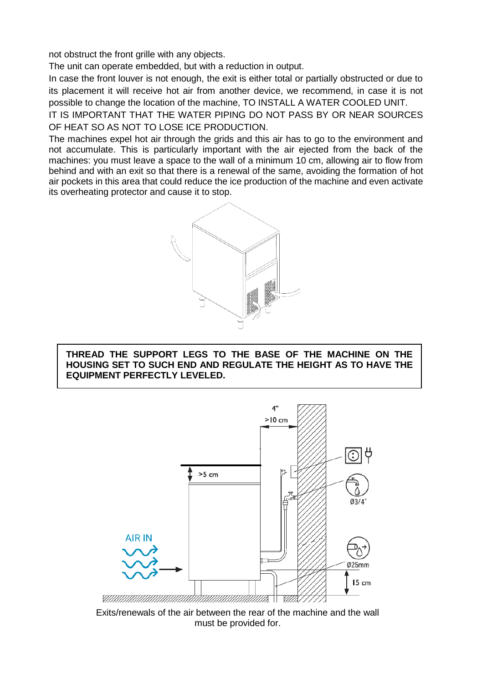not obstruct the front grille with any objects.

The unit can operate embedded, but with a reduction in output.

In case the front louver is not enough, the exit is either total or partially obstructed or due to its placement it will receive hot air from another device, we recommend, in case it is not possible to change the location of the machine, TO INSTALL A WATER COOLED UNIT.

IT IS IMPORTANT THAT THE WATER PIPING DO NOT PASS BY OR NEAR SOURCES OF HEAT SO AS NOT TO LOSE ICE PRODUCTION.

The machines expel hot air through the grids and this air has to go to the environment and not accumulate. This is particularly important with the air ejected from the back of the machines: you must leave a space to the wall of a minimum 10 cm, allowing air to flow from behind and with an exit so that there is a renewal of the same, avoiding the formation of hot air pockets in this area that could reduce the ice production of the machine and even activate its overheating protector and cause it to stop.



**THREAD THE SUPPORT LEGS TO THE BASE OF THE MACHINE ON THE HOUSING SET TO SUCH END AND REGULATE THE HEIGHT AS TO HAVE THE EQUIPMENT PERFECTLY LEVELED.**



Exits/renewals of the air between the rear of the machine and the wall must be provided for.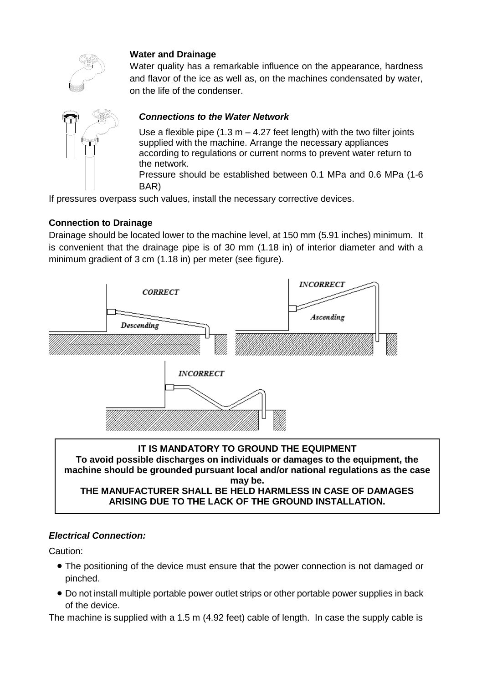

## **Water and Drainage**

Water quality has a remarkable influence on the appearance, hardness and flavor of the ice as well as, on the machines condensated by water, on the life of the condenser.

### *Connections to the Water Network*

Use a flexible pipe  $(1.3 \text{ m} - 4.27 \text{ feet length})$  with the two filter joints supplied with the machine. Arrange the necessary appliances according to regulations or current norms to prevent water return to the network. Pressure should be established between 0.1 MPa and 0.6 MPa (1-6 BAR)

If pressures overpass such values, install the necessary corrective devices.

#### **Connection to Drainage**

Drainage should be located lower to the machine level, at 150 mm (5.91 inches) minimum. It is convenient that the drainage pipe is of 30 mm (1.18 in) of interior diameter and with a minimum gradient of 3 cm (1.18 in) per meter (see figure).



**IT IS MANDATORY TO GROUND THE EQUIPMENT To avoid possible discharges on individuals or damages to the equipment, the machine should be grounded pursuant local and/or national regulations as the case may be. THE MANUFACTURER SHALL BE HELD HARMLESS IN CASE OF DAMAGES ARISING DUE TO THE LACK OF THE GROUND INSTALLATION.**

#### *Electrical Connection:*

Caution:

- The positioning of the device must ensure that the power connection is not damaged or pinched.
- Do not install multiple portable power outlet strips or other portable power supplies in back of the device.

The machine is supplied with a 1.5 m (4.92 feet) cable of length. In case the supply cable is

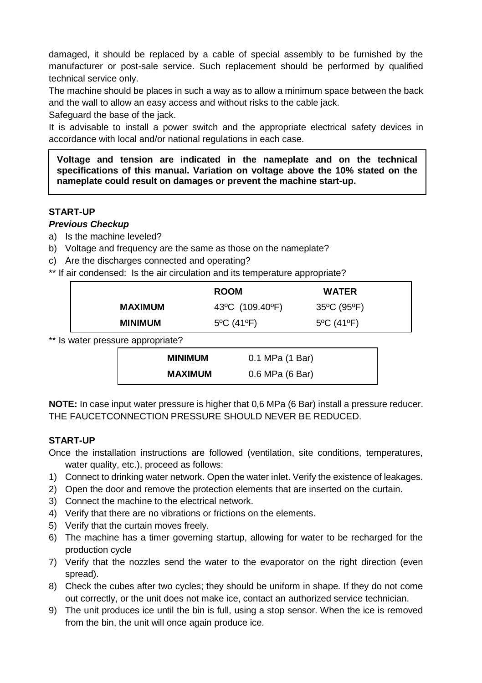damaged, it should be replaced by a cable of special assembly to be furnished by the manufacturer or post-sale service. Such replacement should be performed by qualified technical service only.

The machine should be places in such a way as to allow a minimum space between the back and the wall to allow an easy access and without risks to the cable jack.

Safeguard the base of the jack.

It is advisable to install a power switch and the appropriate electrical safety devices in accordance with local and/or national regulations in each case.

**Voltage and tension are indicated in the nameplate and on the technical specifications of this manual. Variation on voltage above the 10% stated on the nameplate could result on damages or prevent the machine start-up.**

### **START-UP**

#### *Previous Checkup*

- a) Is the machine leveled?
- b) Voltage and frequency are the same as those on the nameplate?
- c) Are the discharges connected and operating?
- \*\* If air condensed: Is the air circulation and its temperature appropriate?

|                | <b>ROOM</b>                     | <b>WATER</b> |  |
|----------------|---------------------------------|--------------|--|
| <b>MAXIMUM</b> | 43°C (109.40°F)                 | 35°C (95°F)  |  |
| <b>MINIMUM</b> | $5^{\circ}$ C (41 $^{\circ}$ F) | 5°C (41°F)   |  |

\*\* Is water pressure appropriate?

| <b>MINIMUM</b> | 0.1 MPa (1 Bar) |
|----------------|-----------------|
| <b>MAXIMUM</b> | 0.6 MPa (6 Bar) |

**NOTE:** In case input water pressure is higher that 0,6 MPa (6 Bar) install a pressure reducer. THE FAUCETCONNECTION PRESSURE SHOULD NEVER BE REDUCED.

#### **START-UP**

- Once the installation instructions are followed (ventilation, site conditions, temperatures, water quality, etc.), proceed as follows:
- 1) Connect to drinking water network. Open the water inlet. Verify the existence of leakages.
- 2) Open the door and remove the protection elements that are inserted on the curtain.
- 3) Connect the machine to the electrical network.
- 4) Verify that there are no vibrations or frictions on the elements.
- 5) Verify that the curtain moves freely.
- 6) The machine has a timer governing startup, allowing for water to be recharged for the production cycle
- 7) Verify that the nozzles send the water to the evaporator on the right direction (even spread).
- 8) Check the cubes after two cycles; they should be uniform in shape. If they do not come out correctly, or the unit does not make ice, contact an authorized service technician.
- 9) The unit produces ice until the bin is full, using a stop sensor. When the ice is removed from the bin, the unit will once again produce ice.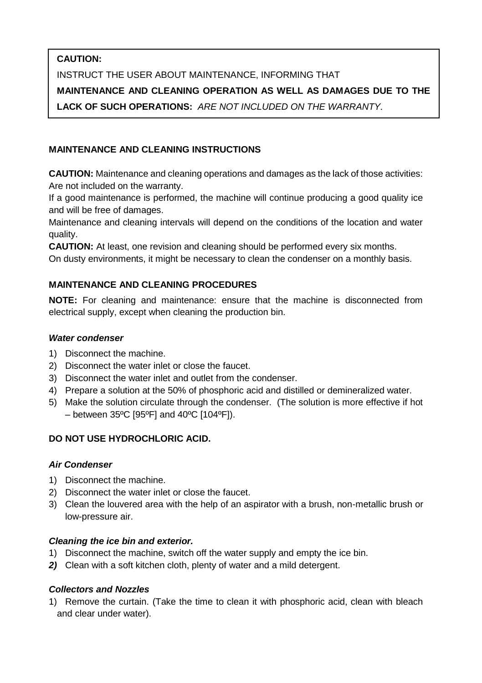# **CAUTION:**

INSTRUCT THE USER ABOUT MAINTENANCE, INFORMING THAT **MAINTENANCE AND CLEANING OPERATION AS WELL AS DAMAGES DUE TO THE LACK OF SUCH OPERATIONS:** *ARE NOT INCLUDED ON THE WARRANTY.*

# **MAINTENANCE AND CLEANING INSTRUCTIONS**

**CAUTION:** Maintenance and cleaning operations and damages as the lack of those activities: Are not included on the warranty.

If a good maintenance is performed, the machine will continue producing a good quality ice and will be free of damages.

Maintenance and cleaning intervals will depend on the conditions of the location and water quality.

**CAUTION:** At least, one revision and cleaning should be performed every six months.

On dusty environments, it might be necessary to clean the condenser on a monthly basis.

# **MAINTENANCE AND CLEANING PROCEDURES**

**NOTE:** For cleaning and maintenance: ensure that the machine is disconnected from electrical supply, except when cleaning the production bin.

## *Water condenser*

- 1) Disconnect the machine.
- 2) Disconnect the water inlet or close the faucet.
- 3) Disconnect the water inlet and outlet from the condenser.
- 4) Prepare a solution at the 50% of phosphoric acid and distilled or demineralized water.
- 5) Make the solution circulate through the condenser. (The solution is more effective if hot  $-$  between 35°C [95°F] and 40°C [104°F]).

# **DO NOT USE HYDROCHLORIC ACID.**

#### *Air Condenser*

- 1) Disconnect the machine.
- 2) Disconnect the water inlet or close the faucet.
- 3) Clean the louvered area with the help of an aspirator with a brush, non-metallic brush or low-pressure air.

#### *Cleaning the ice bin and exterior.*

- 1) Disconnect the machine, switch off the water supply and empty the ice bin.
- *2)* Clean with a soft kitchen cloth, plenty of water and a mild detergent.

# *Collectors and Nozzles*

1) Remove the curtain. (Take the time to clean it with phosphoric acid, clean with bleach and clear under water).